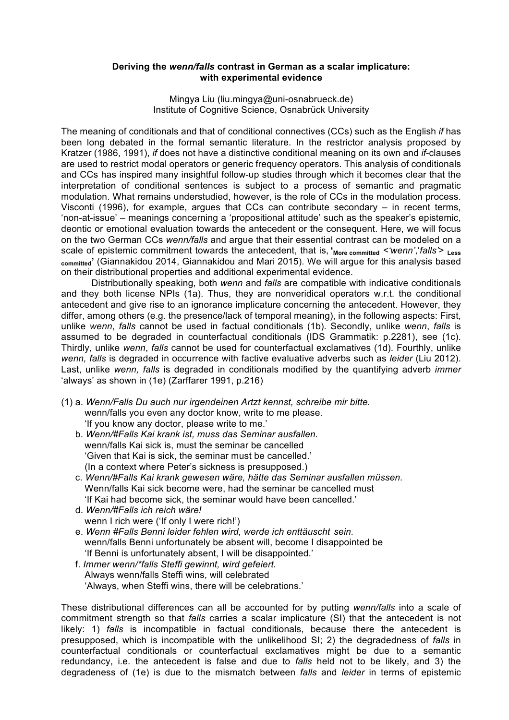## **Deriving the** *wenn/falls* **contrast in German as a scalar implicature: with experimental evidence**

Mingya Liu (liu.mingya@uni-osnabrueck.de) Institute of Cognitive Science, Osnabrück University

The meaning of conditionals and that of conditional connectives (CCs) such as the English *if* has been long debated in the formal semantic literature. In the restrictor analysis proposed by Kratzer (1986, 1991), *if* does not have a distinctive conditional meaning on its own and *if*-clauses are used to restrict modal operators or generic frequency operators. This analysis of conditionals and CCs has inspired many insightful follow-up studies through which it becomes clear that the interpretation of conditional sentences is subject to a process of semantic and pragmatic modulation. What remains understudied, however, is the role of CCs in the modulation process. Visconti (1996), for example, argues that CCs can contribute secondary – in recent terms, 'non-at-issue' – meanings concerning a 'propositional attitude' such as the speaker's epistemic, deontic or emotional evaluation towards the antecedent or the consequent. Here, we will focus on the two German CCs *wenn/falls* and argue that their essential contrast can be modeled on a scale of epistemic commitment towards the antecedent, that is, '<sub>More committed</sub>  $\leq$ 'wenn', 'falls'> Less **committed'** (Giannakidou 2014, Giannakidou and Mari 2015). We will argue for this analysis based on their distributional properties and additional experimental evidence.

Distributionally speaking, both *wenn* and *falls* are compatible with indicative conditionals and they both license NPIs (1a). Thus, they are nonveridical operators w.r.t. the conditional antecedent and give rise to an ignorance implicature concerning the antecedent. However, they differ, among others (e.g. the presence/lack of temporal meaning), in the following aspects: First, unlike *wenn*, *falls* cannot be used in factual conditionals (1b). Secondly, unlike *wenn*, *falls* is assumed to be degraded in counterfactual conditionals (IDS Grammatik: p.2281), see (1c). Thirdly, unlike *wenn*, *falls* cannot be used for counterfactual exclamatives (1d). Fourthly, unlike *wenn, falls* is degraded in occurrence with factive evaluative adverbs such as *leider* (Liu 2012). Last, unlike *wenn, falls* is degraded in conditionals modified by the quantifying adverb *immer*  'always' as shown in (1e) (Zarffarer 1991, p.216)

- (1) a. *Wenn/Falls Du auch nur irgendeinen Artzt kennst, schreibe mir bitte.* wenn/falls you even any doctor know, write to me please. 'If you know any doctor, please write to me.'
	- b. *Wenn/#Falls Kai krank ist, muss das Seminar ausfallen.* wenn/falls Kai sick is, must the seminar be cancelled 'Given that Kai is sick, the seminar must be cancelled.' (In a context where Peter's sickness is presupposed.)
	- c. *Wenn/#Falls Kai krank gewesen wäre, hätte das Seminar ausfallen müssen.* Wenn/falls Kai sick become were, had the seminar be cancelled must 'If Kai had become sick, the seminar would have been cancelled.'
	- d. *Wenn/#Falls ich reich wäre!* wenn I rich were ('If only I were rich!')
	- e. *Wenn #Falls Benni leider fehlen wird, werde ich enttäuscht sein.* wenn/falls Benni unfortunately be absent will, become I disappointed be 'If Benni is unfortunately absent, I will be disappointed.'
	- f. *Immer wenn/\*falls Steffi gewinnt, wird gefeiert.* Always wenn/falls Steffi wins, will celebrated 'Always, when Steffi wins, there will be celebrations.'

These distributional differences can all be accounted for by putting *wenn/falls* into a scale of commitment strength so that *falls* carries a scalar implicature (SI) that the antecedent is not likely: 1) *falls* is incompatible in factual conditionals, because there the antecedent is presupposed, which is incompatible with the unlikelihood SI; 2) the degradedness of *falls* in counterfactual conditionals or counterfactual exclamatives might be due to a semantic redundancy, i.e. the antecedent is false and due to *falls* held not to be likely, and 3) the degradeness of (1e) is due to the mismatch between *falls* and *leider* in terms of epistemic